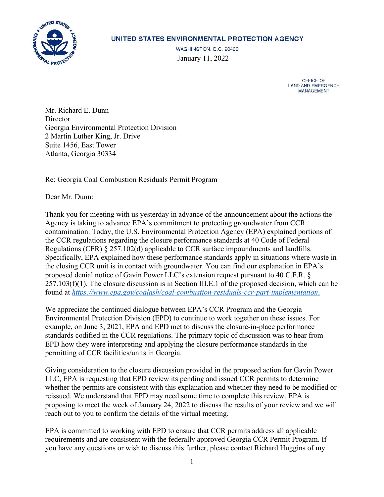

## UNITED STATES ENVIRONMENTAL PROTECTION AGENCY

WASHINGTON, D.C. 20460 January 11, 2022

> OFFICE OF LAND AND EMERGENCY **MANAGEMENT**

Mr. Richard E. Dunn **Director** Georgia Environmental Protection Division 2 Martin Luther King, Jr. Drive Suite 1456, East Tower Atlanta, Georgia 30334

Re: Georgia Coal Combustion Residuals Permit Program

Dear Mr. Dunn:

Thank you for meeting with us yesterday in advance of the announcement about the actions the Agency is taking to advance EPA's commitment to protecting groundwater from CCR contamination. Today, the U.S. Environmental Protection Agency (EPA) explained portions of the CCR regulations regarding the closure performance standards at 40 Code of Federal Regulations (CFR) § 257.102(d) applicable to CCR surface impoundments and landfills. Specifically, EPA explained how these performance standards apply in situations where waste in the closing CCR unit is in contact with groundwater. You can find our explanation in EPA's proposed denial notice of Gavin Power LLC's extension request pursuant to 40 C.F.R. § 257.103(f)(1). The closure discussion is in Section III.E.1 of the proposed decision, which can be found at *[https://www.epa.gov/coalash/coal-combustion-residuals-ccr-part-implementation](https://www.epa.gov/coalash/coal-combustion-residuals-ccr-part-implementation.)*.

We appreciate the continued dialogue between EPA's CCR Program and the Georgia Environmental Protection Division (EPD) to continue to work together on these issues. For example, on June 3, 2021, EPA and EPD met to discuss the closure-in-place performance standards codified in the CCR regulations. The primary topic of discussion was to hear from EPD how they were interpreting and applying the closure performance standards in the permitting of CCR facilities/units in Georgia.

Giving consideration to the closure discussion provided in the proposed action for Gavin Power LLC, EPA is requesting that EPD review its pending and issued CCR permits to determine whether the permits are consistent with this explanation and whether they need to be modified or reissued. We understand that EPD may need some time to complete this review. EPA is proposing to meet the week of January 24, 2022 to discuss the results of your review and we will reach out to you to confirm the details of the virtual meeting.

EPA is committed to working with EPD to ensure that CCR permits address all applicable requirements and are consistent with the federally approved Georgia CCR Permit Program. If you have any questions or wish to discuss this further, please contact Richard Huggins of my